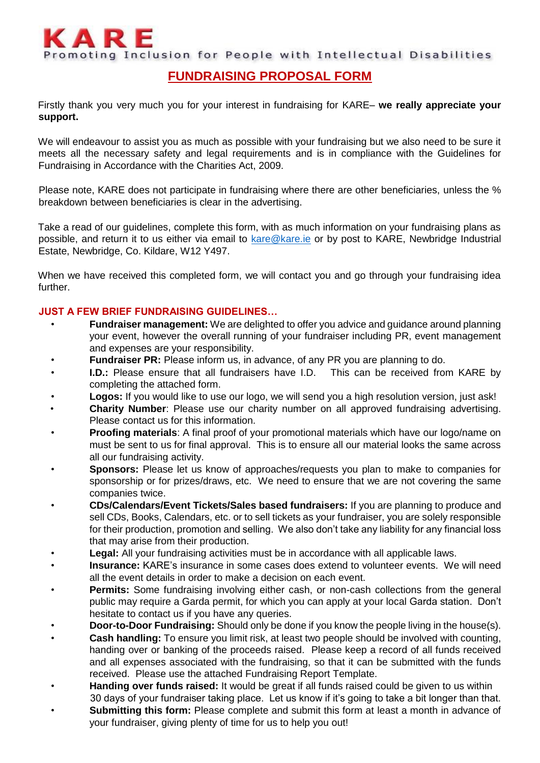

Promoting Inclusion for People with Intellectual Disabilities

## **FUNDRAISING PROPOSAL FORM**

Firstly thank you very much you for your interest in fundraising for KARE– **we really appreciate your support.**

We will endeavour to assist you as much as possible with your fundraising but we also need to be sure it meets all the necessary safety and legal requirements and is in compliance with the Guidelines for Fundraising in Accordance with the Charities Act, 2009.

Please note, KARE does not participate in fundraising where there are other beneficiaries, unless the % breakdown between beneficiaries is clear in the advertising.

Take a read of our guidelines, complete this form, with as much information on your fundraising plans as possible, and return it to us either via email to [kare@kare.ie](mailto:kare@kare.ie) or by post to KARE, Newbridge Industrial Estate, Newbridge, Co. Kildare, W12 Y497.

When we have received this completed form, we will contact you and go through your fundraising idea further.

## **JUST A FEW BRIEF FUNDRAISING GUIDELINES…**

- **Fundraiser management:** We are delighted to offer you advice and guidance around planning your event, however the overall running of your fundraiser including PR, event management and expenses are your responsibility.
- **Fundraiser PR:** Please inform us, in advance, of any PR you are planning to do.
- **I.D.:** Please ensure that all fundraisers have I.D. This can be received from KARE by completing the attached form.
- **Logos:** If you would like to use our logo, we will send you a high resolution version, just ask!
- **Charity Number**: Please use our charity number on all approved fundraising advertising. Please contact us for this information.
- **Proofing materials**: A final proof of your promotional materials which have our logo/name on must be sent to us for final approval. This is to ensure all our material looks the same across all our fundraising activity.
- **Sponsors:** Please let us know of approaches/requests you plan to make to companies for sponsorship or for prizes/draws, etc. We need to ensure that we are not covering the same companies twice.
- **CDs/Calendars/Event Tickets/Sales based fundraisers:** If you are planning to produce and sell CDs, Books, Calendars, etc. or to sell tickets as your fundraiser, you are solely responsible for their production, promotion and selling. We also don't take any liability for any financial loss that may arise from their production.
- **Legal:** All your fundraising activities must be in accordance with all applicable laws.
- **Insurance:** KARE's insurance in some cases does extend to volunteer events. We will need all the event details in order to make a decision on each event.
- **Permits:** Some fundraising involving either cash, or non-cash collections from the general public may require a Garda permit, for which you can apply at your local Garda station. Don't hesitate to contact us if you have any queries.
- **Door-to-Door Fundraising:** Should only be done if you know the people living in the house(s).
- **Cash handling:** To ensure you limit risk, at least two people should be involved with counting, handing over or banking of the proceeds raised. Please keep a record of all funds received and all expenses associated with the fundraising, so that it can be submitted with the funds received. Please use the attached Fundraising Report Template.
- **Handing over funds raised:** It would be great if all funds raised could be given to us within 30 days of your fundraiser taking place. Let us know if it's going to take a bit longer than that.
- **Submitting this form:** Please complete and submit this form at least a month in advance of your fundraiser, giving plenty of time for us to help you out!